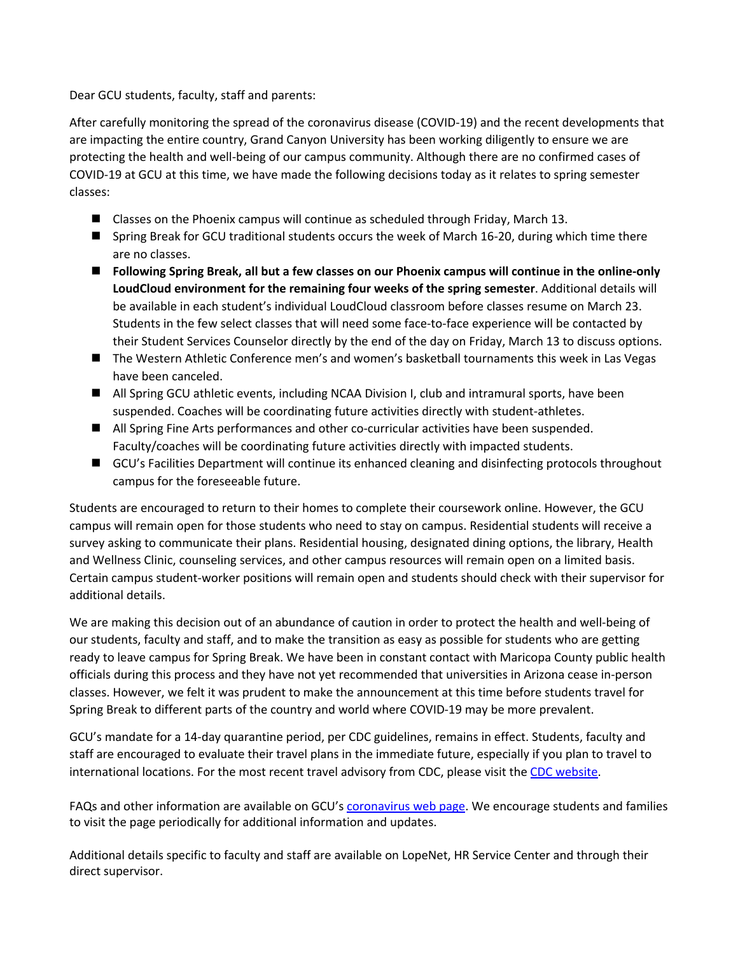Dear GCU students, faculty, staff and parents:

After carefully monitoring the spread of the coronavirus disease (COVID-19) and the recent developments that are impacting the entire country, Grand Canyon University has been working diligently to ensure we are protecting the health and well-being of our campus community. Although there are no confirmed cases of COVID-19 at GCU at this time, we have made the following decisions today as it relates to spring semester classes:

- $\blacksquare$  Classes on the Phoenix campus will continue as scheduled through Friday, March 13.
- Spring Break for GCU traditional students occurs the week of March 16-20, during which time there are no classes.
- **n** Following Spring Break, all but a few classes on our Phoenix campus will continue in the online-only **LoudCloud environment for the remaining four weeks of the spring semester**. Additional details will be available in each student's individual LoudCloud classroom before classes resume on March 23. Students in the few select classes that will need some face-to-face experience will be contacted by their Student Services Counselor directly by the end of the day on Friday, March 13 to discuss options.
- The Western Athletic Conference men's and women's basketball tournaments this week in Las Vegas have been canceled.
- All Spring GCU athletic events, including NCAA Division I, club and intramural sports, have been suspended. Coaches will be coordinating future activities directly with student-athletes.
- All Spring Fine Arts performances and other co-curricular activities have been suspended. Faculty/coaches will be coordinating future activities directly with impacted students.
- GCU's Facilities Department will continue its enhanced cleaning and disinfecting protocols throughout campus for the foreseeable future.

Students are encouraged to return to their homes to complete their coursework online. However, the GCU campus will remain open for those students who need to stay on campus. Residential students will receive a survey asking to communicate their plans. Residential housing, designated dining options, the library, Health and Wellness Clinic, counseling services, and other campus resources will remain open on a limited basis. Certain campus student-worker positions will remain open and students should check with their supervisor for additional details.

We are making this decision out of an abundance of caution in order to protect the health and well-being of our students, faculty and staff, and to make the transition as easy as possible for students who are getting ready to leave campus for Spring Break. We have been in constant contact with Maricopa County public health officials during this process and they have not yet recommended that universities in Arizona cease in-person classes. However, we felt it was prudent to make the announcement at this time before students travel for Spring Break to different parts of the country and world where COVID-19 may be more prevalent.

GCU's mandate for a 14-day quarantine period, per CDC guidelines, remains in effect. Students, faculty and staff are encouraged to evaluate their travel plans in the immediate future, especially if you plan to travel to international locations. For the most recent travel advisory from CDC, please visit the CDC website.

FAQs and other information are available on GCU's coronavirus web page. We encourage students and families to visit the page periodically for additional information and updates.

Additional details specific to faculty and staff are available on LopeNet, HR Service Center and through their direct supervisor.